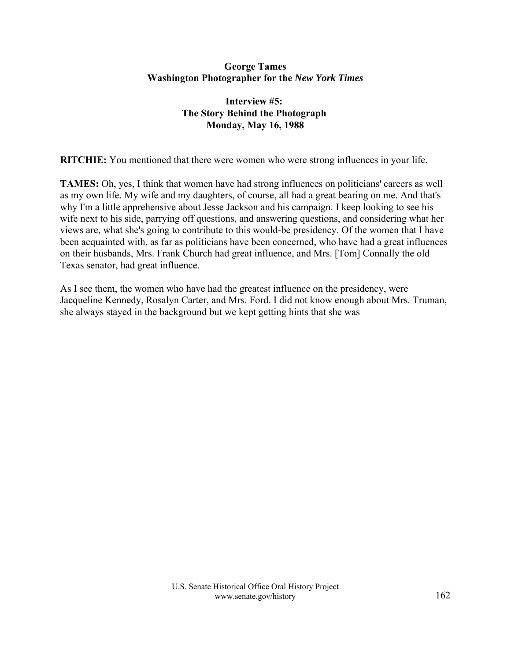## **George Tames Washington Photographer for the** *New York Times*

## **Interview #5: The Story Behind the Photograph Monday, May 16, 1988**

**RITCHIE:** You mentioned that there were women who were strong influences in your life.

**TAMES:** Oh, yes, I think that women have had strong influences on politicians' careers as well as my own life. My wife and my daughters, of course, all had a great bearing on me. And that's why I'm a little apprehensive about Jesse Jackson and his campaign. I keep looking to see his wife next to his side, parrying off questions, and answering questions, and considering what her views are, what she's going to contribute to this would-be presidency. Of the women that I have been acquainted with, as far as politicians have been concerned, who have had a great influences on their husbands, Mrs. Frank Church had great influence, and Mrs. [Tom] Connally the old Texas senator, had great influence.

As I see them, the women who have had the greatest influence on the presidency, were Jacqueline Kennedy, Rosalyn Carter, and Mrs. Ford. I did not know enough about Mrs. Truman, she always stayed in the background but we kept getting hints that she was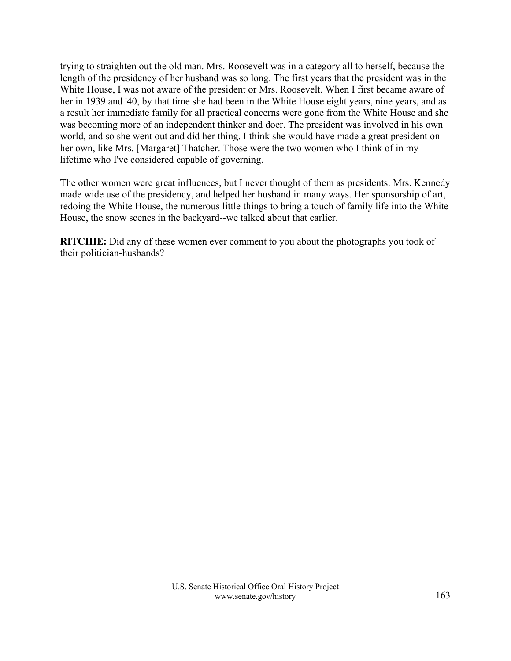trying to straighten out the old man. Mrs. Roosevelt was in a category all to herself, because the length of the presidency of her husband was so long. The first years that the president was in the White House, I was not aware of the president or Mrs. Roosevelt. When I first became aware of her in 1939 and '40, by that time she had been in the White House eight years, nine years, and as a result her immediate family for all practical concerns were gone from the White House and she was becoming more of an independent thinker and doer. The president was involved in his own world, and so she went out and did her thing. I think she would have made a great president on her own, like Mrs. [Margaret] Thatcher. Those were the two women who I think of in my lifetime who I've considered capable of governing.

The other women were great influences, but I never thought of them as presidents. Mrs. Kennedy made wide use of the presidency, and helped her husband in many ways. Her sponsorship of art, redoing the White House, the numerous little things to bring a touch of family life into the White House, the snow scenes in the backyard--we talked about that earlier.

**RITCHIE:** Did any of these women ever comment to you about the photographs you took of their politician-husbands?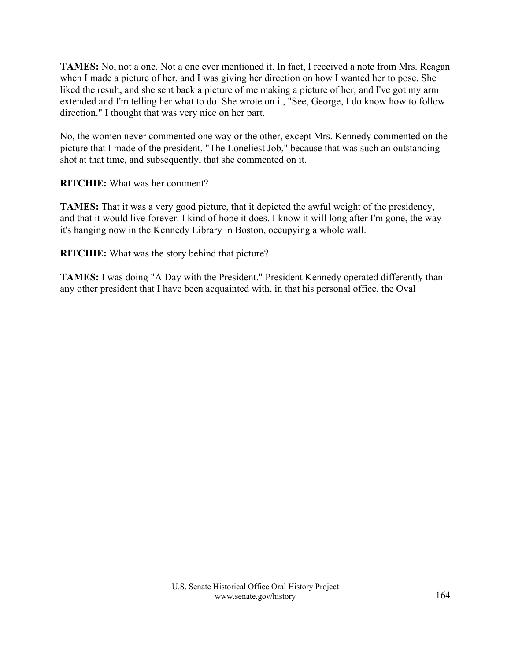**TAMES:** No, not a one. Not a one ever mentioned it. In fact, I received a note from Mrs. Reagan when I made a picture of her, and I was giving her direction on how I wanted her to pose. She liked the result, and she sent back a picture of me making a picture of her, and I've got my arm extended and I'm telling her what to do. She wrote on it, "See, George, I do know how to follow direction." I thought that was very nice on her part.

No, the women never commented one way or the other, except Mrs. Kennedy commented on the picture that I made of the president, "The Loneliest Job," because that was such an outstanding shot at that time, and subsequently, that she commented on it.

## **RITCHIE:** What was her comment?

**TAMES:** That it was a very good picture, that it depicted the awful weight of the presidency, and that it would live forever. I kind of hope it does. I know it will long after I'm gone, the way it's hanging now in the Kennedy Library in Boston, occupying a whole wall.

**RITCHIE:** What was the story behind that picture?

**TAMES:** I was doing "A Day with the President." President Kennedy operated differently than any other president that I have been acquainted with, in that his personal office, the Oval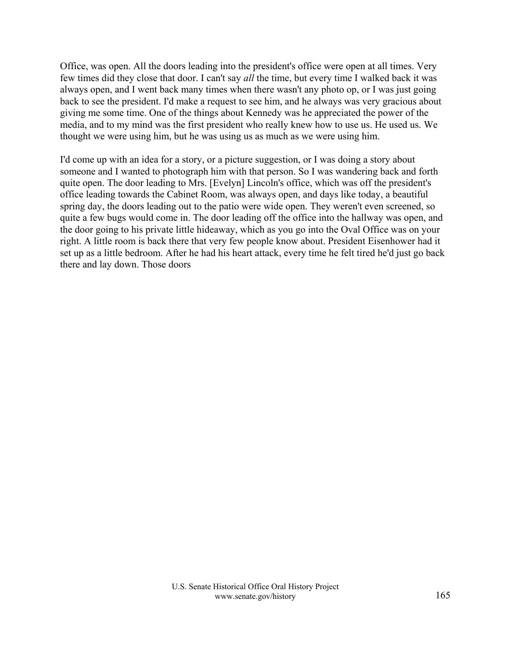Office, was open. All the doors leading into the president's office were open at all times. Very few times did they close that door. I can't say *all* the time, but every time I walked back it was always open, and I went back many times when there wasn't any photo op, or I was just going back to see the president. I'd make a request to see him, and he always was very gracious about giving me some time. One of the things about Kennedy was he appreciated the power of the media, and to my mind was the first president who really knew how to use us. He used us. We thought we were using him, but he was using us as much as we were using him.

I'd come up with an idea for a story, or a picture suggestion, or I was doing a story about someone and I wanted to photograph him with that person. So I was wandering back and forth quite open. The door leading to Mrs. [Evelyn] Lincoln's office, which was off the president's office leading towards the Cabinet Room, was always open, and days like today, a beautiful spring day, the doors leading out to the patio were wide open. They weren't even screened, so quite a few bugs would come in. The door leading off the office into the hallway was open, and the door going to his private little hideaway, which as you go into the Oval Office was on your right. A little room is back there that very few people know about. President Eisenhower had it set up as a little bedroom. After he had his heart attack, every time he felt tired he'd just go back there and lay down. Those doors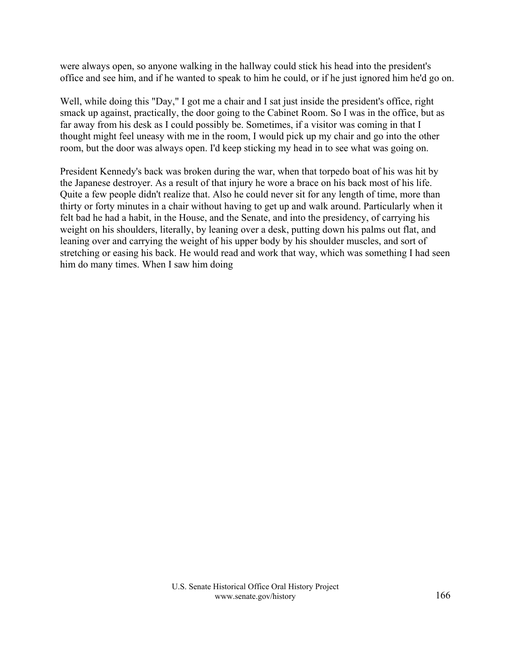were always open, so anyone walking in the hallway could stick his head into the president's office and see him, and if he wanted to speak to him he could, or if he just ignored him he'd go on.

Well, while doing this "Day," I got me a chair and I sat just inside the president's office, right smack up against, practically, the door going to the Cabinet Room. So I was in the office, but as far away from his desk as I could possibly be. Sometimes, if a visitor was coming in that I thought might feel uneasy with me in the room, I would pick up my chair and go into the other room, but the door was always open. I'd keep sticking my head in to see what was going on.

President Kennedy's back was broken during the war, when that torpedo boat of his was hit by the Japanese destroyer. As a result of that injury he wore a brace on his back most of his life. Quite a few people didn't realize that. Also he could never sit for any length of time, more than thirty or forty minutes in a chair without having to get up and walk around. Particularly when it felt bad he had a habit, in the House, and the Senate, and into the presidency, of carrying his weight on his shoulders, literally, by leaning over a desk, putting down his palms out flat, and leaning over and carrying the weight of his upper body by his shoulder muscles, and sort of stretching or easing his back. He would read and work that way, which was something I had seen him do many times. When I saw him doing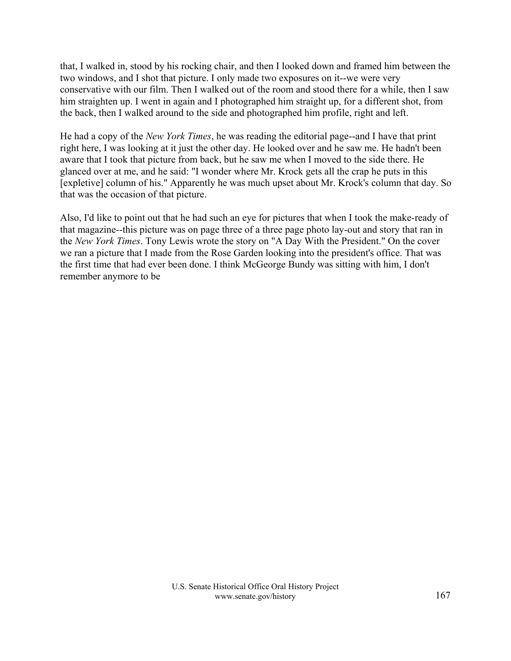that, I walked in, stood by his rocking chair, and then I looked down and framed him between the two windows, and I shot that picture. I only made two exposures on it--we were very conservative with our film. Then I walked out of the room and stood there for a while, then I saw him straighten up. I went in again and I photographed him straight up, for a different shot, from the back, then I walked around to the side and photographed him profile, right and left.

He had a copy of the *New York Times*, he was reading the editorial page--and I have that print right here, I was looking at it just the other day. He looked over and he saw me. He hadn't been aware that I took that picture from back, but he saw me when I moved to the side there. He glanced over at me, and he said: "I wonder where Mr. Krock gets all the crap he puts in this [expletive] column of his." Apparently he was much upset about Mr. Krock's column that day. So that was the occasion of that picture.

Also, I'd like to point out that he had such an eye for pictures that when I took the make-ready of that magazine--this picture was on page three of a three page photo lay-out and story that ran in the *New York Times*. Tony Lewis wrote the story on "A Day With the President." On the cover we ran a picture that I made from the Rose Garden looking into the president's office. That was the first time that had ever been done. I think McGeorge Bundy was sitting with him, I don't remember anymore to be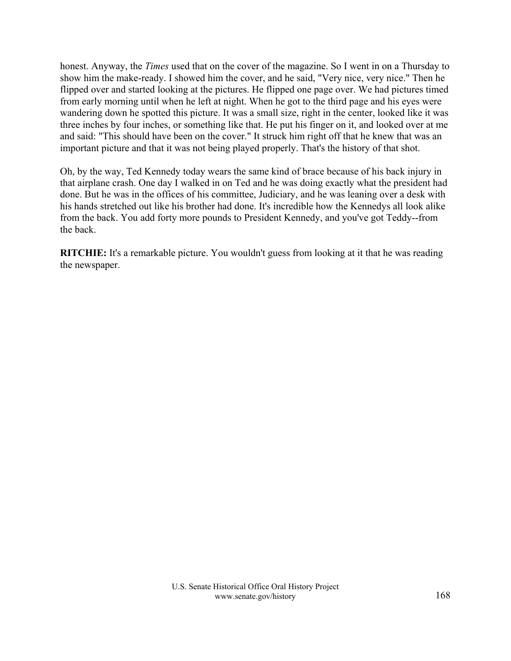honest. Anyway, the *Times* used that on the cover of the magazine. So I went in on a Thursday to show him the make-ready. I showed him the cover, and he said, "Very nice, very nice." Then he flipped over and started looking at the pictures. He flipped one page over. We had pictures timed from early morning until when he left at night. When he got to the third page and his eyes were wandering down he spotted this picture. It was a small size, right in the center, looked like it was three inches by four inches, or something like that. He put his finger on it, and looked over at me and said: "This should have been on the cover." It struck him right off that he knew that was an important picture and that it was not being played properly. That's the history of that shot.

Oh, by the way, Ted Kennedy today wears the same kind of brace because of his back injury in that airplane crash. One day I walked in on Ted and he was doing exactly what the president had done. But he was in the offices of his committee, Judiciary, and he was leaning over a desk with his hands stretched out like his brother had done. It's incredible how the Kennedys all look alike from the back. You add forty more pounds to President Kennedy, and you've got Teddy--from the back.

**RITCHIE:** It's a remarkable picture. You wouldn't guess from looking at it that he was reading the newspaper.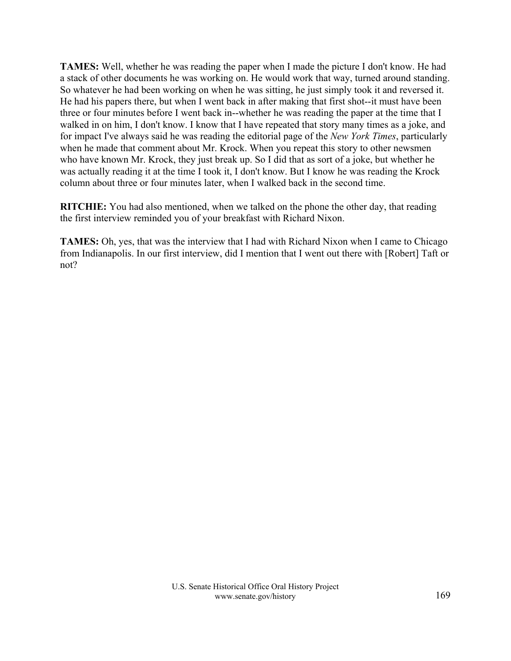**TAMES:** Well, whether he was reading the paper when I made the picture I don't know. He had a stack of other documents he was working on. He would work that way, turned around standing. So whatever he had been working on when he was sitting, he just simply took it and reversed it. He had his papers there, but when I went back in after making that first shot--it must have been three or four minutes before I went back in--whether he was reading the paper at the time that I walked in on him, I don't know. I know that I have repeated that story many times as a joke, and for impact I've always said he was reading the editorial page of the *New York Times*, particularly when he made that comment about Mr. Krock. When you repeat this story to other newsmen who have known Mr. Krock, they just break up. So I did that as sort of a joke, but whether he was actually reading it at the time I took it, I don't know. But I know he was reading the Krock column about three or four minutes later, when I walked back in the second time.

**RITCHIE:** You had also mentioned, when we talked on the phone the other day, that reading the first interview reminded you of your breakfast with Richard Nixon.

**TAMES:** Oh, yes, that was the interview that I had with Richard Nixon when I came to Chicago from Indianapolis. In our first interview, did I mention that I went out there with [Robert] Taft or not?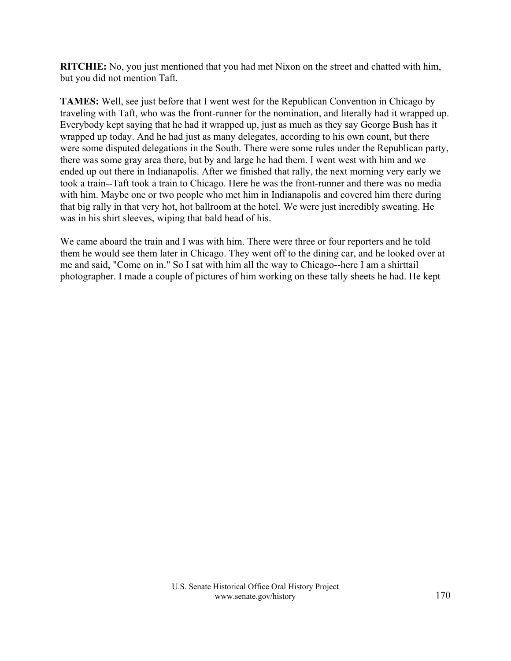**RITCHIE:** No, you just mentioned that you had met Nixon on the street and chatted with him, but you did not mention Taft.

**TAMES:** Well, see just before that I went west for the Republican Convention in Chicago by traveling with Taft, who was the front-runner for the nomination, and literally had it wrapped up. Everybody kept saying that he had it wrapped up, just as much as they say George Bush has it wrapped up today. And he had just as many delegates, according to his own count, but there were some disputed delegations in the South. There were some rules under the Republican party, there was some gray area there, but by and large he had them. I went west with him and we ended up out there in Indianapolis. After we finished that rally, the next morning very early we took a train--Taft took a train to Chicago. Here he was the front-runner and there was no media with him. Maybe one or two people who met him in Indianapolis and covered him there during that big rally in that very hot, hot ballroom at the hotel. We were just incredibly sweating. He was in his shirt sleeves, wiping that bald head of his.

We came aboard the train and I was with him. There were three or four reporters and he told them he would see them later in Chicago. They went off to the dining car, and he looked over at me and said, "Come on in." So I sat with him all the way to Chicago--here I am a shirttail photographer. I made a couple of pictures of him working on these tally sheets he had. He kept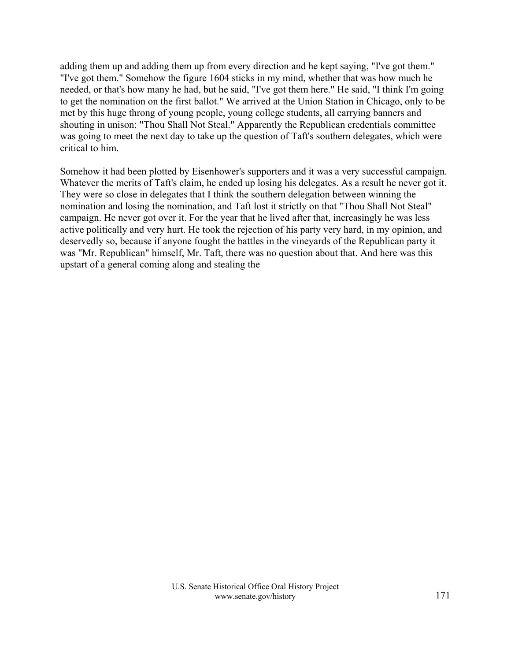adding them up and adding them up from every direction and he kept saying, "I've got them." "I've got them." Somehow the figure 1604 sticks in my mind, whether that was how much he needed, or that's how many he had, but he said, "I've got them here." He said, "I think I'm going to get the nomination on the first ballot." We arrived at the Union Station in Chicago, only to be met by this huge throng of young people, young college students, all carrying banners and shouting in unison: "Thou Shall Not Steal." Apparently the Republican credentials committee was going to meet the next day to take up the question of Taft's southern delegates, which were critical to him.

Somehow it had been plotted by Eisenhower's supporters and it was a very successful campaign. Whatever the merits of Taft's claim, he ended up losing his delegates. As a result he never got it. They were so close in delegates that I think the southern delegation between winning the nomination and losing the nomination, and Taft lost it strictly on that "Thou Shall Not Steal" campaign. He never got over it. For the year that he lived after that, increasingly he was less active politically and very hurt. He took the rejection of his party very hard, in my opinion, and deservedly so, because if anyone fought the battles in the vineyards of the Republican party it was "Mr. Republican" himself, Mr. Taft, there was no question about that. And here was this upstart of a general coming along and stealing the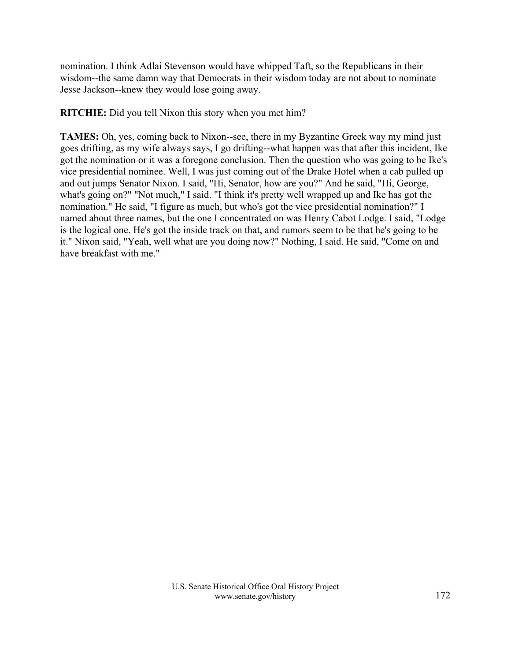nomination. I think Adlai Stevenson would have whipped Taft, so the Republicans in their wisdom--the same damn way that Democrats in their wisdom today are not about to nominate Jesse Jackson--knew they would lose going away.

**RITCHIE:** Did you tell Nixon this story when you met him?

**TAMES:** Oh, yes, coming back to Nixon--see, there in my Byzantine Greek way my mind just goes drifting, as my wife always says, I go drifting--what happen was that after this incident, Ike got the nomination or it was a foregone conclusion. Then the question who was going to be Ike's vice presidential nominee. Well, I was just coming out of the Drake Hotel when a cab pulled up and out jumps Senator Nixon. I said, "Hi, Senator, how are you?" And he said, "Hi, George, what's going on?" "Not much," I said. "I think it's pretty well wrapped up and Ike has got the nomination." He said, "I figure as much, but who's got the vice presidential nomination?" I named about three names, but the one I concentrated on was Henry Cabot Lodge. I said, "Lodge is the logical one. He's got the inside track on that, and rumors seem to be that he's going to be it." Nixon said, "Yeah, well what are you doing now?" Nothing, I said. He said, "Come on and have breakfast with me."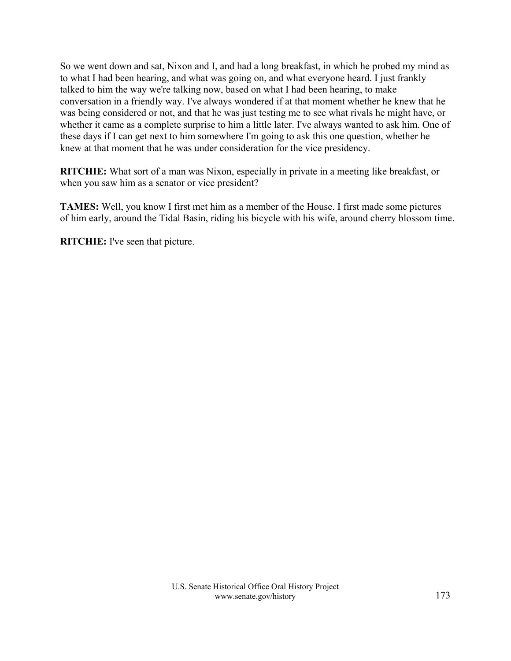So we went down and sat, Nixon and I, and had a long breakfast, in which he probed my mind as to what I had been hearing, and what was going on, and what everyone heard. I just frankly talked to him the way we're talking now, based on what I had been hearing, to make conversation in a friendly way. I've always wondered if at that moment whether he knew that he was being considered or not, and that he was just testing me to see what rivals he might have, or whether it came as a complete surprise to him a little later. I've always wanted to ask him. One of these days if I can get next to him somewhere I'm going to ask this one question, whether he knew at that moment that he was under consideration for the vice presidency.

**RITCHIE:** What sort of a man was Nixon, especially in private in a meeting like breakfast, or when you saw him as a senator or vice president?

**TAMES:** Well, you know I first met him as a member of the House. I first made some pictures of him early, around the Tidal Basin, riding his bicycle with his wife, around cherry blossom time.

**RITCHIE:** I've seen that picture.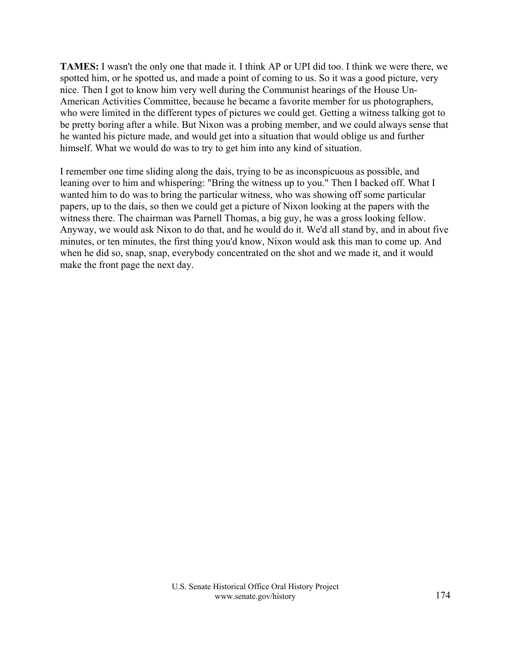**TAMES:** I wasn't the only one that made it. I think AP or UPI did too. I think we were there, we spotted him, or he spotted us, and made a point of coming to us. So it was a good picture, very nice. Then I got to know him very well during the Communist hearings of the House Un-American Activities Committee, because he became a favorite member for us photographers, who were limited in the different types of pictures we could get. Getting a witness talking got to be pretty boring after a while. But Nixon was a probing member, and we could always sense that he wanted his picture made, and would get into a situation that would oblige us and further himself. What we would do was to try to get him into any kind of situation.

I remember one time sliding along the dais, trying to be as inconspicuous as possible, and leaning over to him and whispering: "Bring the witness up to you." Then I backed off. What I wanted him to do was to bring the particular witness, who was showing off some particular papers, up to the dais, so then we could get a picture of Nixon looking at the papers with the witness there. The chairman was Parnell Thomas, a big guy, he was a gross looking fellow. Anyway, we would ask Nixon to do that, and he would do it. We'd all stand by, and in about five minutes, or ten minutes, the first thing you'd know, Nixon would ask this man to come up. And when he did so, snap, snap, everybody concentrated on the shot and we made it, and it would make the front page the next day.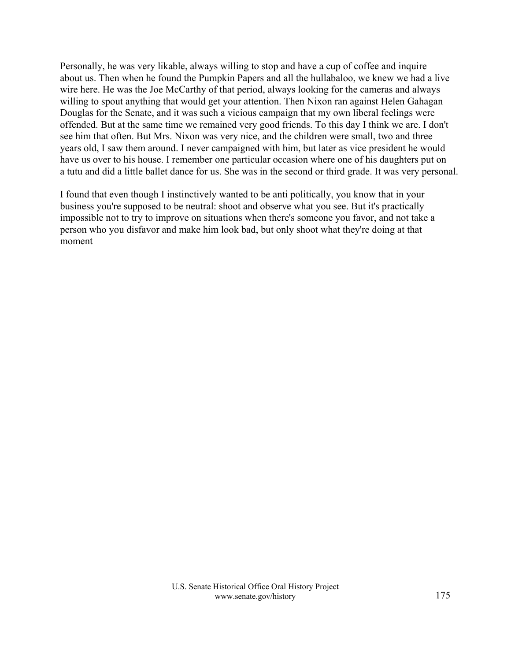Personally, he was very likable, always willing to stop and have a cup of coffee and inquire about us. Then when he found the Pumpkin Papers and all the hullabaloo, we knew we had a live wire here. He was the Joe McCarthy of that period, always looking for the cameras and always willing to spout anything that would get your attention. Then Nixon ran against Helen Gahagan Douglas for the Senate, and it was such a vicious campaign that my own liberal feelings were offended. But at the same time we remained very good friends. To this day I think we are. I don't see him that often. But Mrs. Nixon was very nice, and the children were small, two and three years old, I saw them around. I never campaigned with him, but later as vice president he would have us over to his house. I remember one particular occasion where one of his daughters put on a tutu and did a little ballet dance for us. She was in the second or third grade. It was very personal.

I found that even though I instinctively wanted to be anti politically, you know that in your business you're supposed to be neutral: shoot and observe what you see. But it's practically impossible not to try to improve on situations when there's someone you favor, and not take a person who you disfavor and make him look bad, but only shoot what they're doing at that moment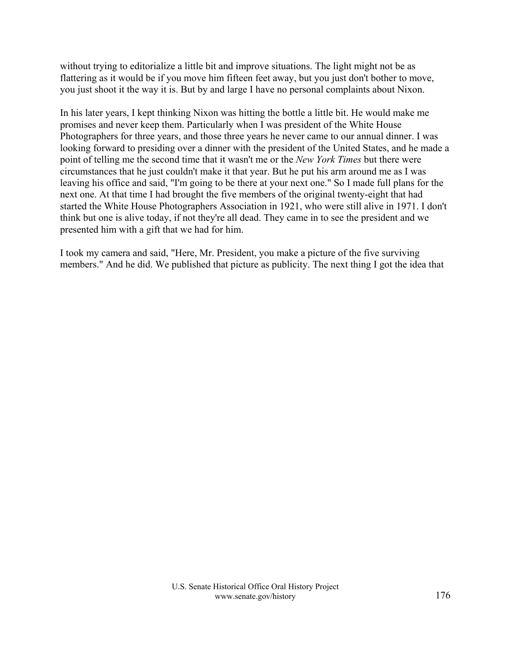without trying to editorialize a little bit and improve situations. The light might not be as flattering as it would be if you move him fifteen feet away, but you just don't bother to move, you just shoot it the way it is. But by and large I have no personal complaints about Nixon.

In his later years, I kept thinking Nixon was hitting the bottle a little bit. He would make me promises and never keep them. Particularly when I was president of the White House Photographers for three years, and those three years he never came to our annual dinner. I was looking forward to presiding over a dinner with the president of the United States, and he made a point of telling me the second time that it wasn't me or the *New York Times* but there were circumstances that he just couldn't make it that year. But he put his arm around me as I was leaving his office and said, "I'm going to be there at your next one." So I made full plans for the next one. At that time I had brought the five members of the original twenty-eight that had started the White House Photographers Association in 1921, who were still alive in 1971. I don't think but one is alive today, if not they're all dead. They came in to see the president and we presented him with a gift that we had for him.

I took my camera and said, "Here, Mr. President, you make a picture of the five surviving members." And he did. We published that picture as publicity. The next thing I got the idea that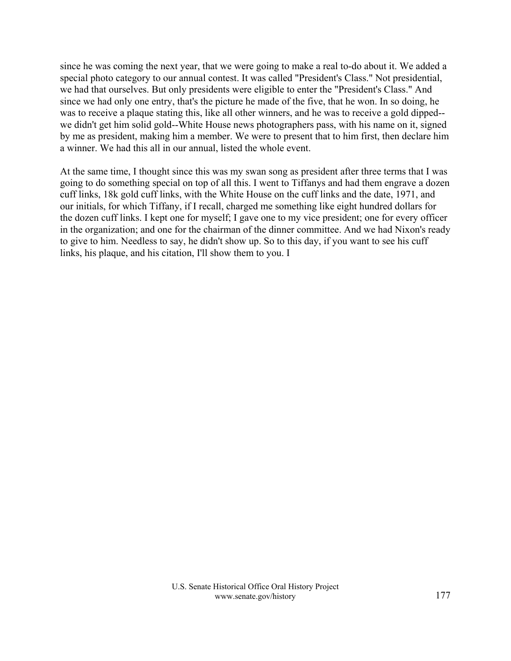since he was coming the next year, that we were going to make a real to-do about it. We added a special photo category to our annual contest. It was called "President's Class." Not presidential, we had that ourselves. But only presidents were eligible to enter the "President's Class." And since we had only one entry, that's the picture he made of the five, that he won. In so doing, he was to receive a plaque stating this, like all other winners, and he was to receive a gold dipped- we didn't get him solid gold--White House news photographers pass, with his name on it, signed by me as president, making him a member. We were to present that to him first, then declare him a winner. We had this all in our annual, listed the whole event.

At the same time, I thought since this was my swan song as president after three terms that I was going to do something special on top of all this. I went to Tiffanys and had them engrave a dozen cuff links, 18k gold cuff links, with the White House on the cuff links and the date, 1971, and our initials, for which Tiffany, if I recall, charged me something like eight hundred dollars for the dozen cuff links. I kept one for myself; I gave one to my vice president; one for every officer in the organization; and one for the chairman of the dinner committee. And we had Nixon's ready to give to him. Needless to say, he didn't show up. So to this day, if you want to see his cuff links, his plaque, and his citation, I'll show them to you. I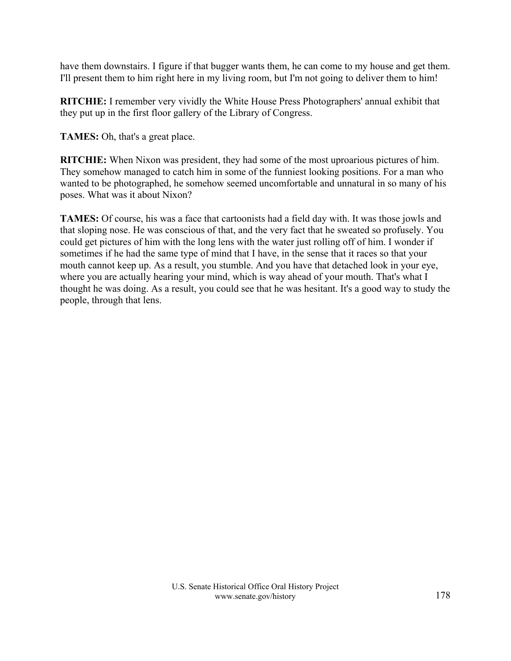have them downstairs. I figure if that bugger wants them, he can come to my house and get them. I'll present them to him right here in my living room, but I'm not going to deliver them to him!

**RITCHIE:** I remember very vividly the White House Press Photographers' annual exhibit that they put up in the first floor gallery of the Library of Congress.

**TAMES:** Oh, that's a great place.

**RITCHIE:** When Nixon was president, they had some of the most uproarious pictures of him. They somehow managed to catch him in some of the funniest looking positions. For a man who wanted to be photographed, he somehow seemed uncomfortable and unnatural in so many of his poses. What was it about Nixon?

**TAMES:** Of course, his was a face that cartoonists had a field day with. It was those jowls and that sloping nose. He was conscious of that, and the very fact that he sweated so profusely. You could get pictures of him with the long lens with the water just rolling off of him. I wonder if sometimes if he had the same type of mind that I have, in the sense that it races so that your mouth cannot keep up. As a result, you stumble. And you have that detached look in your eye, where you are actually hearing your mind, which is way ahead of your mouth. That's what I thought he was doing. As a result, you could see that he was hesitant. It's a good way to study the people, through that lens.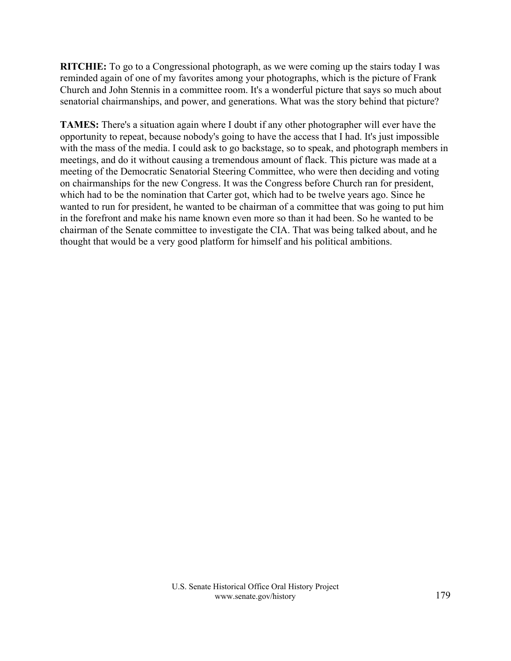**RITCHIE:** To go to a Congressional photograph, as we were coming up the stairs today I was reminded again of one of my favorites among your photographs, which is the picture of Frank Church and John Stennis in a committee room. It's a wonderful picture that says so much about senatorial chairmanships, and power, and generations. What was the story behind that picture?

**TAMES:** There's a situation again where I doubt if any other photographer will ever have the opportunity to repeat, because nobody's going to have the access that I had. It's just impossible with the mass of the media. I could ask to go backstage, so to speak, and photograph members in meetings, and do it without causing a tremendous amount of flack. This picture was made at a meeting of the Democratic Senatorial Steering Committee, who were then deciding and voting on chairmanships for the new Congress. It was the Congress before Church ran for president, which had to be the nomination that Carter got, which had to be twelve years ago. Since he wanted to run for president, he wanted to be chairman of a committee that was going to put him in the forefront and make his name known even more so than it had been. So he wanted to be chairman of the Senate committee to investigate the CIA. That was being talked about, and he thought that would be a very good platform for himself and his political ambitions.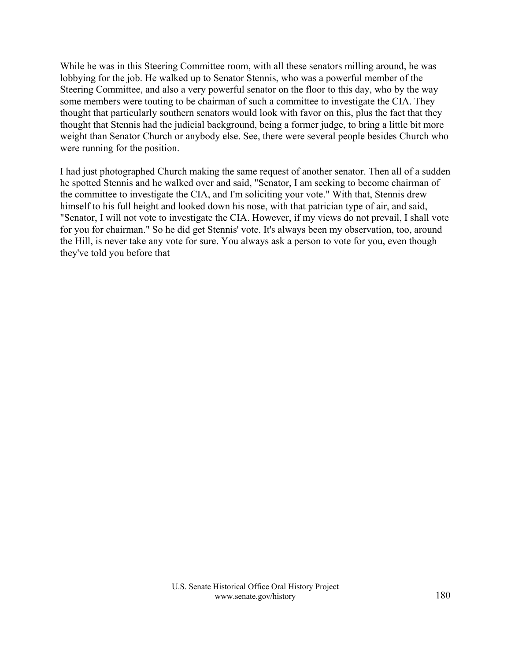While he was in this Steering Committee room, with all these senators milling around, he was lobbying for the job. He walked up to Senator Stennis, who was a powerful member of the Steering Committee, and also a very powerful senator on the floor to this day, who by the way some members were touting to be chairman of such a committee to investigate the CIA. They thought that particularly southern senators would look with favor on this, plus the fact that they thought that Stennis had the judicial background, being a former judge, to bring a little bit more weight than Senator Church or anybody else. See, there were several people besides Church who were running for the position.

I had just photographed Church making the same request of another senator. Then all of a sudden he spotted Stennis and he walked over and said, "Senator, I am seeking to become chairman of the committee to investigate the CIA, and I'm soliciting your vote." With that, Stennis drew himself to his full height and looked down his nose, with that patrician type of air, and said, "Senator, I will not vote to investigate the CIA. However, if my views do not prevail, I shall vote for you for chairman." So he did get Stennis' vote. It's always been my observation, too, around the Hill, is never take any vote for sure. You always ask a person to vote for you, even though they've told you before that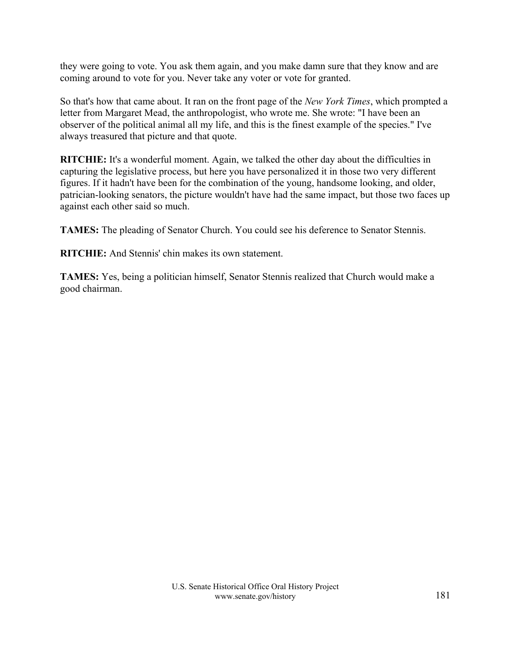they were going to vote. You ask them again, and you make damn sure that they know and are coming around to vote for you. Never take any voter or vote for granted.

So that's how that came about. It ran on the front page of the *New York Times*, which prompted a letter from Margaret Mead, the anthropologist, who wrote me. She wrote: "I have been an observer of the political animal all my life, and this is the finest example of the species." I've always treasured that picture and that quote.

**RITCHIE:** It's a wonderful moment. Again, we talked the other day about the difficulties in capturing the legislative process, but here you have personalized it in those two very different figures. If it hadn't have been for the combination of the young, handsome looking, and older, patrician-looking senators, the picture wouldn't have had the same impact, but those two faces up against each other said so much.

**TAMES:** The pleading of Senator Church. You could see his deference to Senator Stennis.

**RITCHIE:** And Stennis' chin makes its own statement.

**TAMES:** Yes, being a politician himself, Senator Stennis realized that Church would make a good chairman.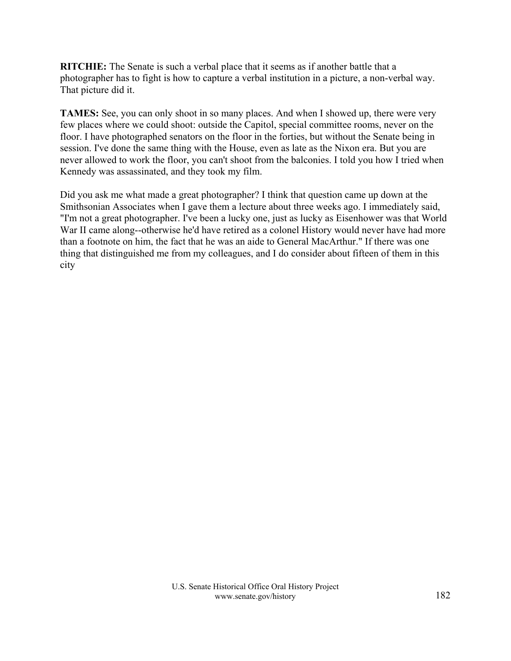**RITCHIE:** The Senate is such a verbal place that it seems as if another battle that a photographer has to fight is how to capture a verbal institution in a picture, a non-verbal way. That picture did it.

**TAMES:** See, you can only shoot in so many places. And when I showed up, there were very few places where we could shoot: outside the Capitol, special committee rooms, never on the floor. I have photographed senators on the floor in the forties, but without the Senate being in session. I've done the same thing with the House, even as late as the Nixon era. But you are never allowed to work the floor, you can't shoot from the balconies. I told you how I tried when Kennedy was assassinated, and they took my film.

Did you ask me what made a great photographer? I think that question came up down at the Smithsonian Associates when I gave them a lecture about three weeks ago. I immediately said, "I'm not a great photographer. I've been a lucky one, just as lucky as Eisenhower was that World War II came along--otherwise he'd have retired as a colonel History would never have had more than a footnote on him, the fact that he was an aide to General MacArthur." If there was one thing that distinguished me from my colleagues, and I do consider about fifteen of them in this city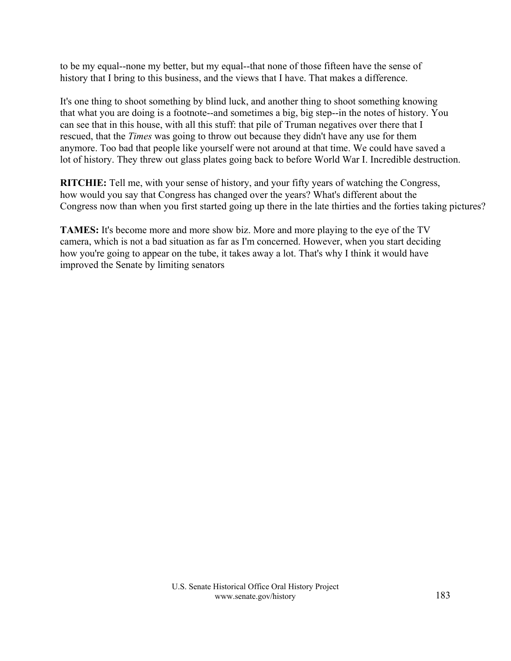to be my equal--none my better, but my equal--that none of those fifteen have the sense of history that I bring to this business, and the views that I have. That makes a difference.

It's one thing to shoot something by blind luck, and another thing to shoot something knowing that what you are doing is a footnote--and sometimes a big, big step--in the notes of history. You can see that in this house, with all this stuff: that pile of Truman negatives over there that I rescued, that the *Times* was going to throw out because they didn't have any use for them anymore. Too bad that people like yourself were not around at that time. We could have saved a lot of history. They threw out glass plates going back to before World War I. Incredible destruction.

**RITCHIE:** Tell me, with your sense of history, and your fifty years of watching the Congress, how would you say that Congress has changed over the years? What's different about the Congress now than when you first started going up there in the late thirties and the forties taking pictures?

**TAMES:** It's become more and more show biz. More and more playing to the eye of the TV camera, which is not a bad situation as far as I'm concerned. However, when you start deciding how you're going to appear on the tube, it takes away a lot. That's why I think it would have improved the Senate by limiting senators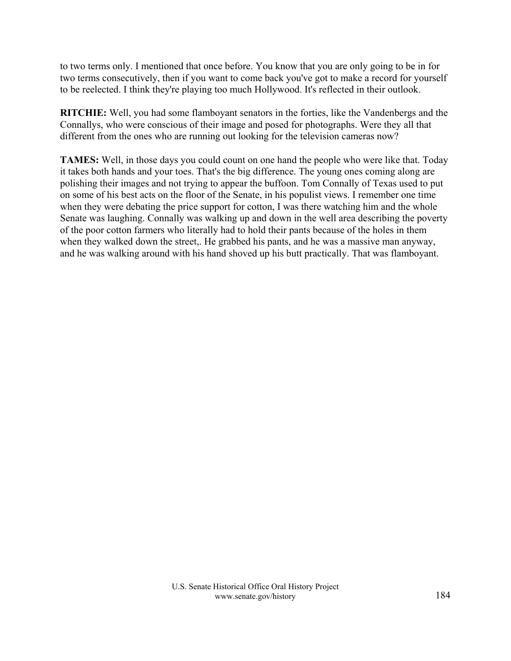to two terms only. I mentioned that once before. You know that you are only going to be in for two terms consecutively, then if you want to come back you've got to make a record for yourself to be reelected. I think they're playing too much Hollywood. It's reflected in their outlook.

**RITCHIE:** Well, you had some flamboyant senators in the forties, like the Vandenbergs and the Connallys, who were conscious of their image and posed for photographs. Were they all that different from the ones who are running out looking for the television cameras now?

**TAMES:** Well, in those days you could count on one hand the people who were like that. Today it takes both hands and your toes. That's the big difference. The young ones coming along are polishing their images and not trying to appear the buffoon. Tom Connally of Texas used to put on some of his best acts on the floor of the Senate, in his populist views. I remember one time when they were debating the price support for cotton, I was there watching him and the whole Senate was laughing. Connally was walking up and down in the well area describing the poverty of the poor cotton farmers who literally had to hold their pants because of the holes in them when they walked down the street,. He grabbed his pants, and he was a massive man anyway, and he was walking around with his hand shoved up his butt practically. That was flamboyant.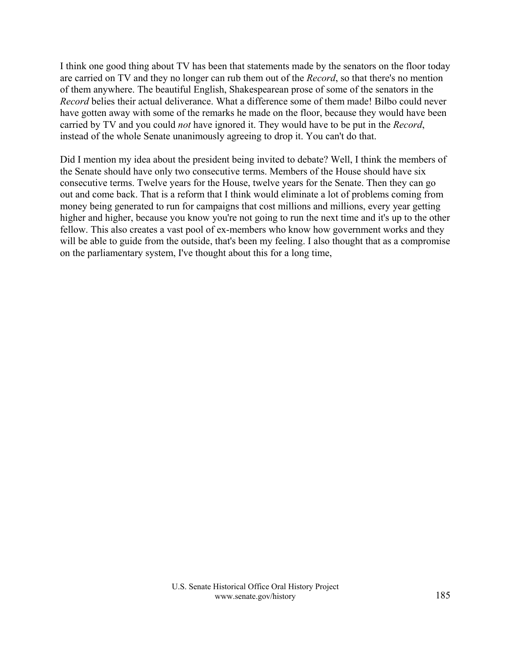I think one good thing about TV has been that statements made by the senators on the floor today are carried on TV and they no longer can rub them out of the *Record*, so that there's no mention of them anywhere. The beautiful English, Shakespearean prose of some of the senators in the *Record* belies their actual deliverance. What a difference some of them made! Bilbo could never have gotten away with some of the remarks he made on the floor, because they would have been carried by TV and you could *not* have ignored it. They would have to be put in the *Record*, instead of the whole Senate unanimously agreeing to drop it. You can't do that.

Did I mention my idea about the president being invited to debate? Well, I think the members of the Senate should have only two consecutive terms. Members of the House should have six consecutive terms. Twelve years for the House, twelve years for the Senate. Then they can go out and come back. That is a reform that I think would eliminate a lot of problems coming from money being generated to run for campaigns that cost millions and millions, every year getting higher and higher, because you know you're not going to run the next time and it's up to the other fellow. This also creates a vast pool of ex-members who know how government works and they will be able to guide from the outside, that's been my feeling. I also thought that as a compromise on the parliamentary system, I've thought about this for a long time,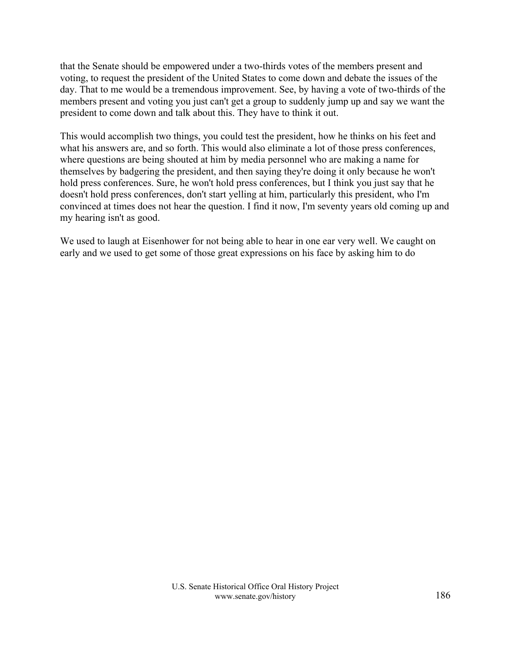that the Senate should be empowered under a two-thirds votes of the members present and voting, to request the president of the United States to come down and debate the issues of the day. That to me would be a tremendous improvement. See, by having a vote of two-thirds of the members present and voting you just can't get a group to suddenly jump up and say we want the president to come down and talk about this. They have to think it out.

This would accomplish two things, you could test the president, how he thinks on his feet and what his answers are, and so forth. This would also eliminate a lot of those press conferences, where questions are being shouted at him by media personnel who are making a name for themselves by badgering the president, and then saying they're doing it only because he won't hold press conferences. Sure, he won't hold press conferences, but I think you just say that he doesn't hold press conferences, don't start yelling at him, particularly this president, who I'm convinced at times does not hear the question. I find it now, I'm seventy years old coming up and my hearing isn't as good.

We used to laugh at Eisenhower for not being able to hear in one ear very well. We caught on early and we used to get some of those great expressions on his face by asking him to do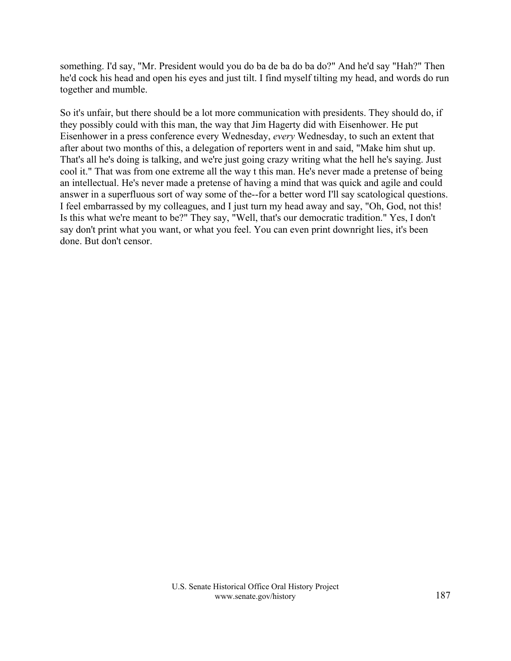something. I'd say, "Mr. President would you do ba de ba do ba do?" And he'd say "Hah?" Then he'd cock his head and open his eyes and just tilt. I find myself tilting my head, and words do run together and mumble.

So it's unfair, but there should be a lot more communication with presidents. They should do, if they possibly could with this man, the way that Jim Hagerty did with Eisenhower. He put Eisenhower in a press conference every Wednesday, *every* Wednesday, to such an extent that after about two months of this, a delegation of reporters went in and said, "Make him shut up. That's all he's doing is talking, and we're just going crazy writing what the hell he's saying. Just cool it." That was from one extreme all the way t this man. He's never made a pretense of being an intellectual. He's never made a pretense of having a mind that was quick and agile and could answer in a superfluous sort of way some of the--for a better word I'll say scatological questions. I feel embarrassed by my colleagues, and I just turn my head away and say, "Oh, God, not this! Is this what we're meant to be?" They say, "Well, that's our democratic tradition." Yes, I don't say don't print what you want, or what you feel. You can even print downright lies, it's been done. But don't censor.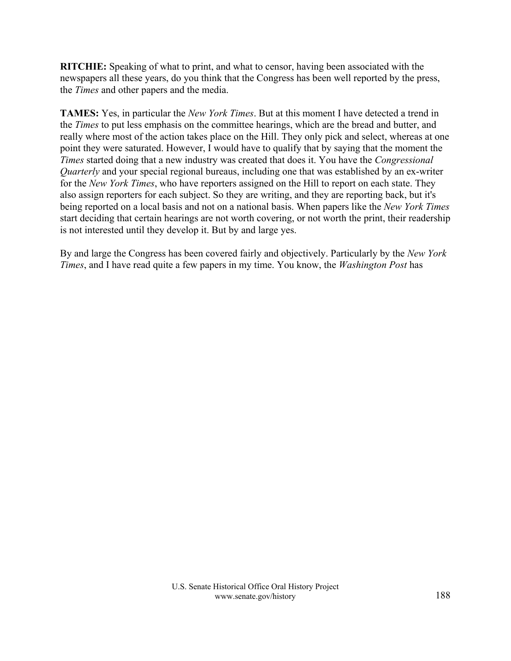**RITCHIE:** Speaking of what to print, and what to censor, having been associated with the newspapers all these years, do you think that the Congress has been well reported by the press, the *Times* and other papers and the media.

**TAMES:** Yes, in particular the *New York Times*. But at this moment I have detected a trend in the *Times* to put less emphasis on the committee hearings, which are the bread and butter, and really where most of the action takes place on the Hill. They only pick and select, whereas at one point they were saturated. However, I would have to qualify that by saying that the moment the *Times* started doing that a new industry was created that does it. You have the *Congressional Quarterly* and your special regional bureaus, including one that was established by an ex-writer for the *New York Times*, who have reporters assigned on the Hill to report on each state. They also assign reporters for each subject. So they are writing, and they are reporting back, but it's being reported on a local basis and not on a national basis. When papers like the *New York Times* start deciding that certain hearings are not worth covering, or not worth the print, their readership is not interested until they develop it. But by and large yes.

By and large the Congress has been covered fairly and objectively. Particularly by the *New York Times*, and I have read quite a few papers in my time. You know, the *Washington Post* has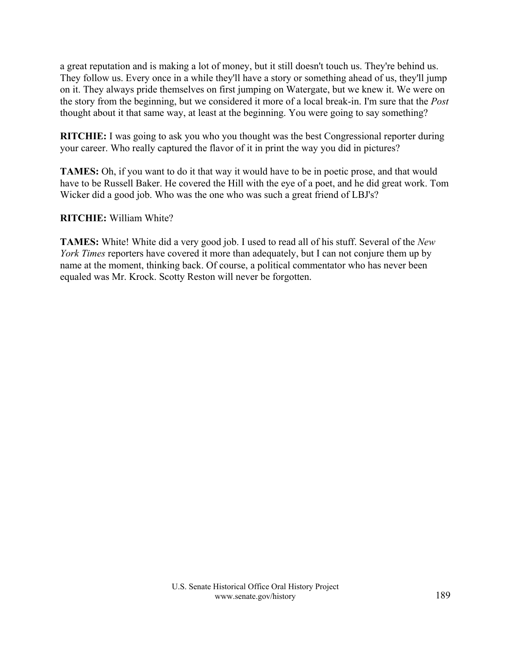a great reputation and is making a lot of money, but it still doesn't touch us. They're behind us. They follow us. Every once in a while they'll have a story or something ahead of us, they'll jump on it. They always pride themselves on first jumping on Watergate, but we knew it. We were on the story from the beginning, but we considered it more of a local break-in. I'm sure that the *Post* thought about it that same way, at least at the beginning. You were going to say something?

**RITCHIE:** I was going to ask you who you thought was the best Congressional reporter during your career. Who really captured the flavor of it in print the way you did in pictures?

**TAMES:** Oh, if you want to do it that way it would have to be in poetic prose, and that would have to be Russell Baker. He covered the Hill with the eye of a poet, and he did great work. Tom Wicker did a good job. Who was the one who was such a great friend of LBJ's?

## **RITCHIE:** William White?

**TAMES:** White! White did a very good job. I used to read all of his stuff. Several of the *New York Times* reporters have covered it more than adequately, but I can not conjure them up by name at the moment, thinking back. Of course, a political commentator who has never been equaled was Mr. Krock. Scotty Reston will never be forgotten.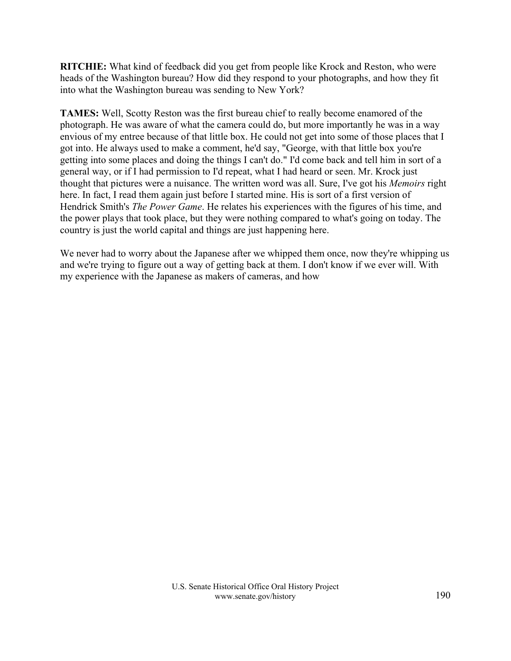**RITCHIE:** What kind of feedback did you get from people like Krock and Reston, who were heads of the Washington bureau? How did they respond to your photographs, and how they fit into what the Washington bureau was sending to New York?

**TAMES:** Well, Scotty Reston was the first bureau chief to really become enamored of the photograph. He was aware of what the camera could do, but more importantly he was in a way envious of my entree because of that little box. He could not get into some of those places that I got into. He always used to make a comment, he'd say, "George, with that little box you're getting into some places and doing the things I can't do." I'd come back and tell him in sort of a general way, or if I had permission to I'd repeat, what I had heard or seen. Mr. Krock just thought that pictures were a nuisance. The written word was all. Sure, I've got his *Memoirs* right here. In fact, I read them again just before I started mine. His is sort of a first version of Hendrick Smith's *The Power Game*. He relates his experiences with the figures of his time, and the power plays that took place, but they were nothing compared to what's going on today. The country is just the world capital and things are just happening here.

We never had to worry about the Japanese after we whipped them once, now they're whipping us and we're trying to figure out a way of getting back at them. I don't know if we ever will. With my experience with the Japanese as makers of cameras, and how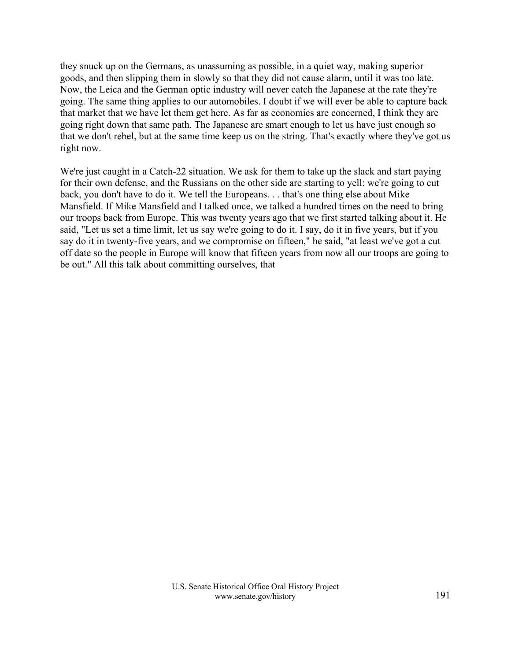they snuck up on the Germans, as unassuming as possible, in a quiet way, making superior goods, and then slipping them in slowly so that they did not cause alarm, until it was too late. Now, the Leica and the German optic industry will never catch the Japanese at the rate they're going. The same thing applies to our automobiles. I doubt if we will ever be able to capture back that market that we have let them get here. As far as economics are concerned, I think they are going right down that same path. The Japanese are smart enough to let us have just enough so that we don't rebel, but at the same time keep us on the string. That's exactly where they've got us right now.

We're just caught in a Catch-22 situation. We ask for them to take up the slack and start paying for their own defense, and the Russians on the other side are starting to yell: we're going to cut back, you don't have to do it. We tell the Europeans. . . that's one thing else about Mike Mansfield. If Mike Mansfield and I talked once, we talked a hundred times on the need to bring our troops back from Europe. This was twenty years ago that we first started talking about it. He said, "Let us set a time limit, let us say we're going to do it. I say, do it in five years, but if you say do it in twenty-five years, and we compromise on fifteen," he said, "at least we've got a cut off date so the people in Europe will know that fifteen years from now all our troops are going to be out." All this talk about committing ourselves, that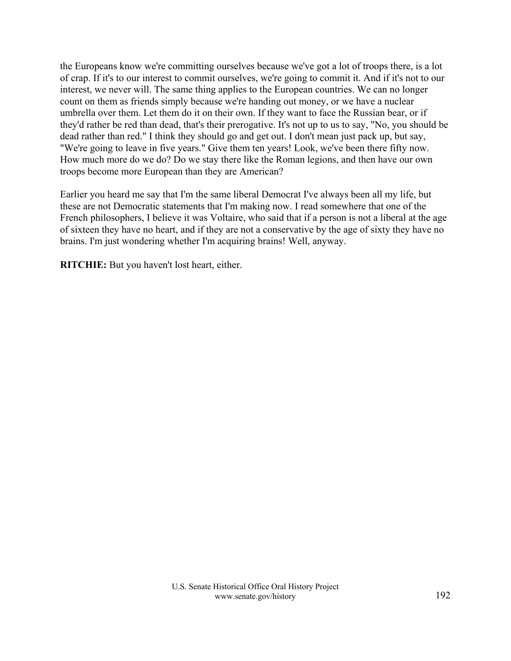the Europeans know we're committing ourselves because we've got a lot of troops there, is a lot of crap. If it's to our interest to commit ourselves, we're going to commit it. And if it's not to our interest, we never will. The same thing applies to the European countries. We can no longer count on them as friends simply because we're handing out money, or we have a nuclear umbrella over them. Let them do it on their own. If they want to face the Russian bear, or if they'd rather be red than dead, that's their prerogative. It's not up to us to say, "No, you should be dead rather than red." I think they should go and get out. I don't mean just pack up, but say, "We're going to leave in five years." Give them ten years! Look, we've been there fifty now. How much more do we do? Do we stay there like the Roman legions, and then have our own troops become more European than they are American?

Earlier you heard me say that I'm the same liberal Democrat I've always been all my life, but these are not Democratic statements that I'm making now. I read somewhere that one of the French philosophers, I believe it was Voltaire, who said that if a person is not a liberal at the age of sixteen they have no heart, and if they are not a conservative by the age of sixty they have no brains. I'm just wondering whether I'm acquiring brains! Well, anyway.

**RITCHIE:** But you haven't lost heart, either.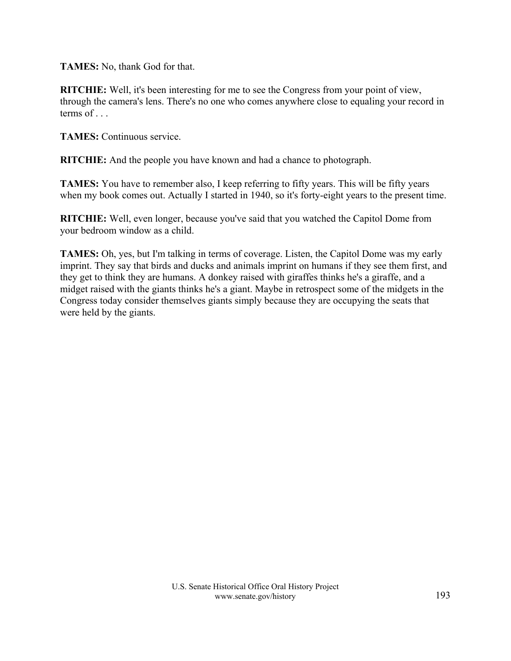**TAMES:** No, thank God for that.

**RITCHIE:** Well, it's been interesting for me to see the Congress from your point of view, through the camera's lens. There's no one who comes anywhere close to equaling your record in terms of . . .

**TAMES:** Continuous service.

**RITCHIE:** And the people you have known and had a chance to photograph.

**TAMES:** You have to remember also, I keep referring to fifty years. This will be fifty years when my book comes out. Actually I started in 1940, so it's forty-eight years to the present time.

**RITCHIE:** Well, even longer, because you've said that you watched the Capitol Dome from your bedroom window as a child.

**TAMES:** Oh, yes, but I'm talking in terms of coverage. Listen, the Capitol Dome was my early imprint. They say that birds and ducks and animals imprint on humans if they see them first, and they get to think they are humans. A donkey raised with giraffes thinks he's a giraffe, and a midget raised with the giants thinks he's a giant. Maybe in retrospect some of the midgets in the Congress today consider themselves giants simply because they are occupying the seats that were held by the giants.